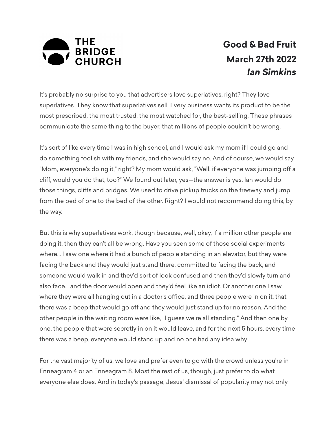

## **Good & Bad Fruit March 27th 2022** *Ian Simkins*

It's probably no surprise to you that advertisers love superlatives, right? They love superlatives. They know that superlatives sell. Every business wants its product to be the most prescribed, the most trusted, the most watched for, the best-selling. These phrases communicate the same thing to the buyer: that millions of people couldn't be wrong.

It's sort of like every time I was in high school, and I would ask my mom if I could go and do something foolish with my friends, and she would say no. And of course, we would say, "Mom, everyone's doing it," right? My mom would ask, "Well, if everyone was jumping off a cliff, would you do that, too?" We found out later, yes—the answer is yes. Ian would do those things, cliffs and bridges. We used to drive pickup trucks on the freeway and jump from the bed of one to the bed of the other. Right? I would not recommend doing this, by the way.

But this is why superlatives work, though because, well, okay, if a million other people are doing it, then they can't all be wrong. Have you seen some of those social experiments where... I saw one where it had a bunch of people standing in an elevator, but they were facing the back and they would just stand there, committed to facing the back, and someone would walk in and they'd sort of look confused and then they'd slowly turn and also face... and the door would open and they'd feel like an idiot. Or another one I saw where they were all hanging out in a doctor's office, and three people were in on it, that there was a beep that would go off and they would just stand up for no reason. And the other people in the waiting room were like, "I guess we're all standing." And then one by one, the people that were secretly in on it would leave, and for the next 5 hours, every time there was a beep, everyone would stand up and no one had any idea why.

For the vast majority of us, we love and prefer even to go with the crowd unless you're in Enneagram 4 or an Enneagram 8. Most the rest of us, though, just prefer to do what everyone else does. And in today's passage, Jesus' dismissal of popularity may not only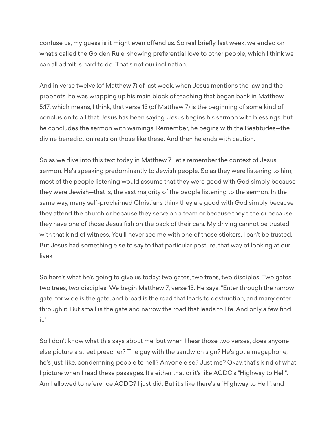confuse us, my guess is it might even offend us. So real briefly, last week, we ended on what's called the Golden Rule, showing preferential love to other people, which I think we can all admit is hard to do. That's not our inclination.

And in verse twelve (of Matthew 7) of last week, when Jesus mentions the law and the prophets, he was wrapping up his main block of teaching that began back in Matthew 5:17, which means, I think, that verse 13 (of Matthew 7) is the beginning of some kind of conclusion to all that Jesus has been saying. Jesus begins his sermon with blessings, but he concludes the sermon with warnings. Remember, he begins with the Beatitudes—the divine benediction rests on those like these. And then he ends with caution.

So as we dive into this text today in Matthew 7, let's remember the context of Jesus' sermon. He's speaking predominantly to Jewish people. So as they were listening to him, most of the people listening would assume that they were good with God simply because they were Jewish—that is, the vast majority of the people listening to the sermon. In the same way, many self-proclaimed Christians think they are good with God simply because they attend the church or because they serve on a team or because they tithe or because they have one of those Jesus fish on the back of their cars. My driving cannot be trusted with that kind of witness. You'll never see me with one of those stickers. I can't be trusted. But Jesus had something else to say to that particular posture, that way of looking at our lives.

So here's what he's going to give us today: two gates, two trees, two disciples. Two gates, two trees, two disciples. We begin Matthew 7, verse 13. He says, "Enter through the narrow gate, for wide is the gate, and broad is the road that leads to destruction, and many enter through it. But small is the gate and narrow the road that leads to life. And only a few find it."

So I don't know what this says about me, but when I hear those two verses, does anyone else picture a street preacher? The guy with the sandwich sign? He's got a megaphone, he's just, like, condemning people to hell? Anyone else? Just me? Okay, that's kind of what I picture when I read these passages. It's either that or it's like ACDC's "Highway to Hell". Am I allowed to reference ACDC? I just did. But it's like there's a "Highway to Hell", and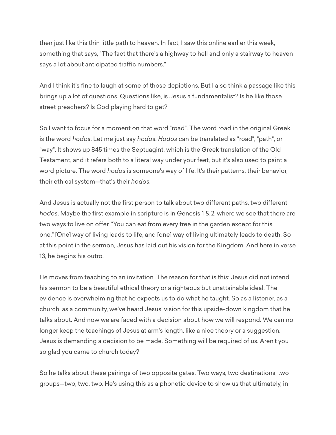then just like this thin little path to heaven. In fact, I saw this online earlier this week, something that says, "The fact that there's a highway to hell and only a stairway to heaven says a lot about anticipated traffic numbers."

And I think it's fine to laugh at some of those depictions. But I also think a passage like this brings up a lot of questions. Questions like, is Jesus a fundamentalist? Is he like those street preachers? Is God playing hard to get?

So I want to focus for a moment on that word "road". The word road in the original Greek is the word *hodos*. Let me just say *hodos*. *Hodos* can be translated as "road", "path", or "way". It shows up 845 times the Septuagint, which is the Greek translation of the Old Testament, and it refers both to a literal way under your feet, but it's also used to paint a word picture. The word *hodos* is someone's way of life. It's their patterns, their behavior, their ethical system—that's their *hodos*.

And Jesus is actually not the first person to talk about two different paths, two different *hodos*. Maybe the first example in scripture is in Genesis 1 & 2, where we see that there are two ways to live on offer. "You can eat from every tree in the garden except for this one." [One] way of living leads to life, and [one] way of living ultimately leads to death. So at this point in the sermon, Jesus has laid out his vision for the Kingdom. And here in verse 13, he begins his outro.

He moves from teaching to an invitation. The reason for that is this: Jesus did not intend his sermon to be a beautiful ethical theory or a righteous but unattainable ideal. The evidence is overwhelming that he expects us to do what he taught. So as a listener, as a church, as a community, we've heard Jesus' vision for this upside-down kingdom that he talks about. And now we are faced with a decision about how we will respond. We can no longer keep the teachings of Jesus at arm's length, like a nice theory or a suggestion. Jesus is demanding a decision to be made. Something will be required of us. Aren't you so glad you came to church today?

So he talks about these pairings of two opposite gates. Two ways, two destinations, two groups—two, two, two. He's using this as a phonetic device to show us that ultimately, in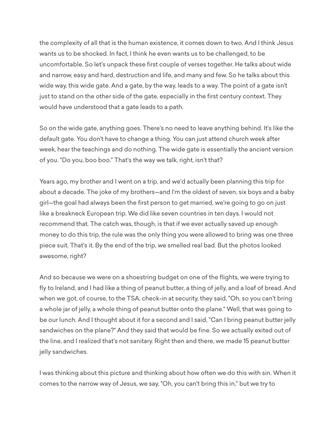the complexity of all that is the human existence, it comes down to two. And I think Jesus wants us to be shocked. In fact, I think he even wants us to be challenged, to be uncomfortable. So let's unpack these first couple of verses together. He talks about wide and narrow, easy and hard, destruction and life, and many and few. So he talks about this wide way, this wide gate. And a gate, by the way, leads to a way. The point of a gate isn't just to stand on the other side of the gate, especially in the first century context. They would have understood that a gate leads to a path.

So on the wide gate, anything goes. There's no need to leave anything behind. It's like the default gate. You don't have to change a thing. You can just attend church week after week, hear the teachings and do nothing. The wide gate is essentially the ancient version of you. "Do you, boo boo." That's the way we talk, right, isn't that?

Years ago, my brother and I went on a trip, and we'd actually been planning this trip for about a decade. The joke of my brothers—and I'm the oldest of seven, six boys and a baby girl—the goal had always been the first person to get married, we're going to go on just like a breakneck European trip. We did like seven countries in ten days. I would not recommend that. The catch was, though, is that if we ever actually saved up enough money to do this trip, the rule was the only thing you were allowed to bring was one three piece suit. That's it. By the end of the trip, we smelled real bad. But the photos looked awesome, right?

And so because we were on a shoestring budget on one of the flights, we were trying to fly to Ireland, and I had like a thing of peanut butter, a thing of jelly, and a loaf of bread. And when we got, of course, to the TSA, check-in at security, they said, "Oh, so you can't bring a whole jar of jelly, a whole thing of peanut butter onto the plane." Well, that was going to be our lunch. And I thought about it for a second and I said, "Can I bring peanut butter jelly sandwiches on the plane?" And they said that would be fine. So we actually exited out of the line, and I realized that's not sanitary. Right then and there, we made 15 peanut butter jelly sandwiches.

I was thinking about this picture and thinking about how often we do this with sin. When it comes to the narrow way of Jesus, we say, "Oh, you can't bring this in," but we try to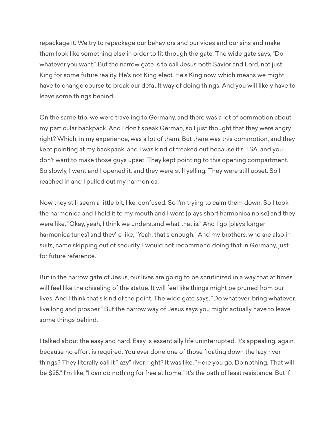repackage it. We try to repackage our behaviors and our vices and our sins and make them look like something else in order to fit through the gate. The wide gate says, "Do whatever you want." But the narrow gate is to call Jesus both Savior and Lord, not just King for some future reality. He's not King elect. He's King now, which means we might have to change course to break our default way of doing things. And you will likely have to leave some things behind.

On the same trip, we were traveling to Germany, and there was a lot of commotion about my particular backpack. And I don't speak German, so I just thought that they were angry, right? Which, in my experience, was a lot of them. But there was this commotion, and they kept pointing at my backpack, and I was kind of freaked out because it's TSA, and you don't want to make those guys upset. They kept pointing to this opening compartment. So slowly, I went and I opened it, and they were still yelling. They were still upset. So I reached in and I pulled out my harmonica.

Now they still seem a little bit, like, confused. So I'm trying to calm them down. So I took the harmonica and I held it to my mouth and I went [plays short harmonica noise] and they were like, "Okay, yeah, I think we understand what that is." And I go [plays longer harmonica tunes] and they're like, "Yeah, that's enough." And my brothers, who are also in suits, came skipping out of security. I would not recommend doing that in Germany, just for future reference.

But in the narrow gate of Jesus, our lives are going to be scrutinized in a way that at times will feel like the chiseling of the statue. It will feel like things might be pruned from our lives. And I think that's kind of the point. The wide gate says, "Do whatever, bring whatever, live long and prosper." But the narrow way of Jesus says you might actually have to leave some things behind.

I talked about the easy and hard. Easy is essentially life uninterrupted. It's appealing, again, because no effort is required. You ever done one of those floating down the lazy river things? They literally call it "lazy" river, right? It was like, "Here you go. Do nothing. That will be \$25." I'm like, "I can do nothing for free at home." It's the path of least resistance. But if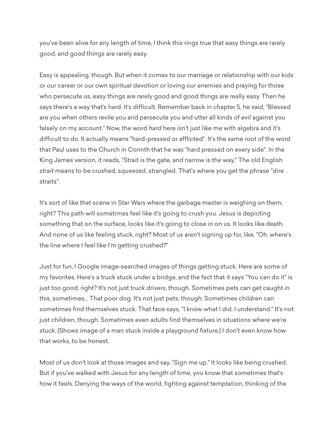you've been alive for any length of time, I think this rings true that easy things are rarely good, and good things are rarely easy.

Easy is appealing, though. But when it comes to our marriage or relationship with our kids or our career or our own spiritual devotion or loving our enemies and praying for those who persecute us, easy things are rarely good and good things are really easy. Then he says there's a way that's hard. It's difficult. Remember back in chapter 5, he said, "Blessed are you when others revile you and persecute you and utter all kinds of evil against you falsely on my account." Now, the word *hard* here isn't just like me with algebra and it's difficult to do. It actually means "hard-pressed or afflicted". It's the same root of the word that Paul uses to the Church in Corinth that he was "hard pressed on every side". In the King James version, it reads, "Strait is the gate, and narrow is the way." The old English *strait* means to be crushed, squeezed, strangled. That's where you get the phrase "dire straits".

It's sort of like that scene in Star Wars where the garbage master is weighing on them, right? This path will sometimes feel like it's going to crush you. Jesus is depicting something that on the surface, looks like it's going to close in on us. It looks like death. And none of us like feeling stuck, right? Most of us aren't signing up for, like, "Oh, where's the line where I feel like I'm getting crushed?"

Just for fun, I Google image-searched images of things getting stuck. Here are some of my favorites. Here's a truck stuck under a bridge, and the fact that it says "You can do it" is just too good, right? It's not just truck drivers, though. Sometimes pets can get caught in this, sometimes... That poor dog. It's not just pets, though. Sometimes children can sometimes find themselves stuck. That face says, "I know what I did. I understand." It's not just children, though. Sometimes even adults find themselves in situations where we're stuck. [Shows image of a man stuck inside a playground fixture.] I don't even know how that works, to be honest.

Most of us don't look at those images and say, "Sign me up." It looks like being crushed. But if you've walked with Jesus for any length of time, you know that sometimes that's how it feels. Denying the ways of the world, fighting against temptation, thinking of the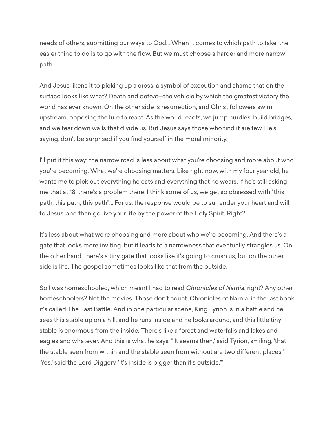needs of others, submitting our ways to God... When it comes to which path to take, the easier thing to do is to go with the flow. But we must choose a harder and more narrow path.

And Jesus likens it to picking up a cross, a symbol of execution and shame that on the surface looks like what? Death and defeat—the vehicle by which the greatest victory the world has ever known. On the other side is resurrection, and Christ followers swim upstream, opposing the lure to react. As the world reacts, we jump hurdles, build bridges, and we tear down walls that divide us. But Jesus says those who find it are few. He's saying, don't be surprised if you find yourself in the moral minority.

I'll put it this way: the narrow road is less about what you're choosing and more about who you're becoming. What we're choosing matters. Like right now, with my four year old, he wants me to pick out everything he eats and everything that he wears. If he's still asking me that at 18, there's a problem there. I think some of us, we get so obsessed with "this path, this path, this path"... For us, the response would be to surrender your heart and will to Jesus, and then go live your life by the power of the Holy Spirit. Right?

It's less about what we're choosing and more about who we're becoming. And there's a gate that looks more inviting, but it leads to a narrowness that eventually strangles us. On the other hand, there's a tiny gate that looks like it's going to crush us, but on the other side is life. The gospel sometimes looks like that from the outside.

So I was homeschooled, which meant I had to read *Chronicles of Narnia*, right? Any other homeschoolers? Not the movies. Those don't count. Chronicles of Narnia, in the last book, it's called The Last Battle. And in one particular scene, King Tyrion is in a battle and he sees this stable up on a hill, and he runs inside and he looks around, and this little tiny stable is enormous from the inside. There's like a forest and waterfalls and lakes and eagles and whatever. And this is what he says: "'It seems then,' said Tyrion, smiling, 'that the stable seen from within and the stable seen from without are two different places.' 'Yes,' said the Lord Diggery, 'it's inside is bigger than it's outside.'"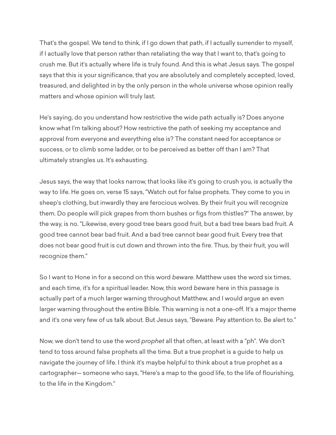That's the gospel. We tend to think, if I go down that path, if I actually surrender to myself, if I actually love that person rather than retaliating the way that I want to, that's going to crush me. But it's actually where life is truly found. And this is what Jesus says. The gospel says that this is your significance, that you are absolutely and completely accepted, loved, treasured, and delighted in by the only person in the whole universe whose opinion really matters and whose opinion will truly last.

He's saying, do you understand how restrictive the wide path actually is? Does anyone know what I'm talking about? How restrictive the path of seeking my acceptance and approval from everyone and everything else is? The constant need for acceptance or success, or to climb some ladder, or to be perceived as better off than I am? That ultimately strangles us. It's exhausting.

Jesus says, the way that looks narrow, that looks like it's going to crush you, is actually the way to life. He goes on, verse 15 says, "Watch out for false prophets. They come to you in sheep's clothing, but inwardly they are ferocious wolves. By their fruit you will recognize them. Do people will pick grapes from thorn bushes or figs from thistles?" The answer, by the way, is no. "Likewise, every good tree bears good fruit, but a bad tree bears bad fruit. A good tree cannot bear bad fruit. And a bad tree cannot bear good fruit. Every tree that does not bear good fruit is cut down and thrown into the fire. Thus, by their fruit, you will recognize them."

So I want to Hone in for a second on this word *beware*. Matthew uses the word six times, and each time, it's for a spiritual leader. Now, this word *beware* here in this passage is actually part of a much larger warning throughout Matthew, and I would argue an even larger warning throughout the entire Bible. This warning is not a one-off. It's a major theme and it's one very few of us talk about. But Jesus says, "Beware. Pay attention to. Be alert to."

Now, we don't tend to use the word *prophet* all that often, at least with a "ph". We don't tend to toss around false prophets all the time. But a true prophet is a guide to help us navigate the journey of life. I think it's maybe helpful to think about a true prophet as a cartographer— someone who says, "Here's a map to the good life, to the life of flourishing, to the life in the Kingdom."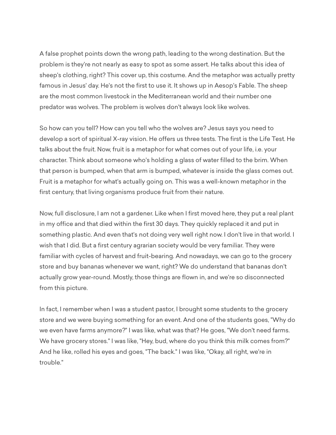A false prophet points down the wrong path, leading to the wrong destination. But the problem is they're not nearly as easy to spot as some assert. He talks about this idea of sheep's clothing, right? This cover up, this costume. And the metaphor was actually pretty famous in Jesus' day. He's not the first to use it. It shows up in Aesop's Fable. The sheep are the most common livestock in the Mediterranean world and their number one predator was wolves. The problem is wolves don't always look like wolves.

So how can you tell? How can you tell who the wolves are? Jesus says you need to develop a sort of spiritual X-ray vision. He offers us three tests. The first is the Life Test. He talks about the fruit. Now, fruit is a metaphor for what comes out of your life, i.e. your character. Think about someone who's holding a glass of water filled to the brim. When that person is bumped, when that arm is bumped, whatever is inside the glass comes out. Fruit is a metaphor for what's actually going on. This was a well-known metaphor in the first century, that living organisms produce fruit from their nature.

Now, full disclosure, I am not a gardener. Like when I first moved here, they put a real plant in my office and that died within the first 30 days. They quickly replaced it and put in something plastic. And even that's not doing very well right now. I don't live in that world. I wish that I did. But a first century agrarian society would be very familiar. They were familiar with cycles of harvest and fruit-bearing. And nowadays, we can go to the grocery store and buy bananas whenever we want, right? We do understand that bananas don't actually grow year-round. Mostly, those things are flown in, and we're so disconnected from this picture.

In fact, I remember when I was a student pastor, I brought some students to the grocery store and we were buying something for an event. And one of the students goes, "Why do we even have farms anymore?" I was like, what was that? He goes, "We don't need farms. We have grocery stores." I was like, "Hey, bud, where do you think this milk comes from?" And he like, rolled his eyes and goes, "The back." I was like, "Okay, all right, we're in trouble."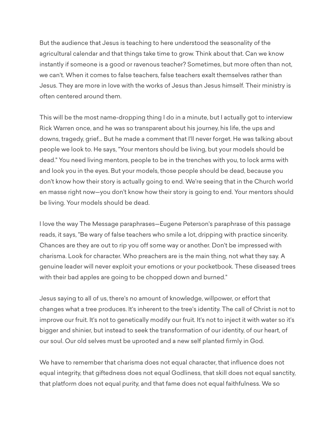But the audience that Jesus is teaching to here understood the seasonality of the agricultural calendar and that things take time to grow. Think about that. Can we know instantly if someone is a good or ravenous teacher? Sometimes, but more often than not, we can't. When it comes to false teachers, false teachers exalt themselves rather than Jesus. They are more in love with the works of Jesus than Jesus himself. Their ministry is often centered around them.

This will be the most name-dropping thing I do in a minute, but I actually got to interview Rick Warren once, and he was so transparent about his journey, his life, the ups and downs, tragedy, grief... But he made a comment that I'll never forget. He was talking about people we look to. He says, "Your mentors should be living, but your models should be dead." You need living mentors, people to be in the trenches with you, to lock arms with and look you in the eyes. But your models, those people should be dead, because you don't know how their story is actually going to end. We're seeing that in the Church world en masse right now—you don't know how their story is going to end. Your mentors should be living. Your models should be dead.

I love the way The Message paraphrases—Eugene Peterson's paraphrase of this passage reads, it says, "Be wary of false teachers who smile a lot, dripping with practice sincerity. Chances are they are out to rip you off some way or another. Don't be impressed with charisma. Look for character. Who preachers are is the main thing, not what they say. A genuine leader will never exploit your emotions or your pocketbook. These diseased trees with their bad apples are going to be chopped down and burned."

Jesus saying to all of us, there's no amount of knowledge, willpower, or effort that changes what a tree produces. It's inherent to the tree's identity. The call of Christ is not to improve our fruit. It's not to genetically modify our fruit. It's not to inject it with water so it's bigger and shinier, but instead to seek the transformation of our identity, of our heart, of our soul. Our old selves must be uprooted and a new self planted firmly in God.

We have to remember that charisma does not equal character, that influence does not equal integrity, that giftedness does not equal Godliness, that skill does not equal sanctity, that platform does not equal purity, and that fame does not equal faithfulness. We so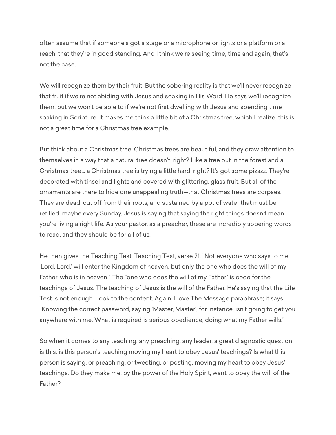often assume that if someone's got a stage or a microphone or lights or a platform or a reach, that they're in good standing. And I think we're seeing time, time and again, that's not the case.

We will recognize them by their fruit. But the sobering reality is that we'll never recognize that fruit if we're not abiding with Jesus and soaking in His Word. He says we'll recognize them, but we won't be able to if we're not first dwelling with Jesus and spending time soaking in Scripture. It makes me think a little bit of a Christmas tree, which I realize, this is not a great time for a Christmas tree example.

But think about a Christmas tree. Christmas trees are beautiful, and they draw attention to themselves in a way that a natural tree doesn't, right? Like a tree out in the forest and a Christmas tree... a Christmas tree is trying a little hard, right? It's got some pizazz. They're decorated with tinsel and lights and covered with glittering, glass fruit. But all of the ornaments are there to hide one unappealing truth—that Christmas trees are corpses. They are dead, cut off from their roots, and sustained by a pot of water that must be refilled, maybe every Sunday. Jesus is saying that saying the right things doesn't mean you're living a right life. As your pastor, as a preacher, these are incredibly sobering words to read, and they should be for all of us.

He then gives the Teaching Test. Teaching Test, verse 21. "Not everyone who says to me, 'Lord, Lord,' will enter the Kingdom of heaven, but only the one who does the will of my Father, who is in heaven." The "one who does the will of my Father" is code for the teachings of Jesus. The teaching of Jesus is the will of the Father. He's saying that the Life Test is not enough. Look to the content. Again, I love The Message paraphrase; it says, "Knowing the correct password, saying 'Master, Master', for instance, isn't going to get you anywhere with me. What is required is serious obedience, doing what my Father wills."

So when it comes to any teaching, any preaching, any leader, a great diagnostic question is this: is this person's teaching moving my heart to obey Jesus' teachings? Is what this person is saying, or preaching, or tweeting, or posting, moving my heart to obey Jesus' teachings. Do they make me, by the power of the Holy Spirit, want to obey the will of the Father?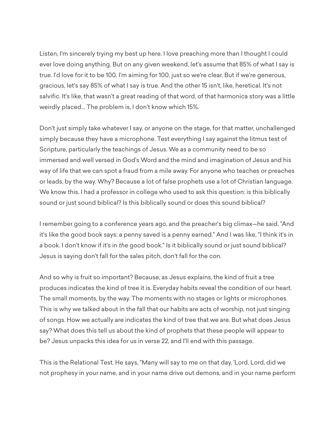Listen, I'm sincerely trying my best up here. I love preaching more than I thought I could ever love doing anything. But on any given weekend, let's assume that 85% of what I say is true. I'd love for it to be 100. I'm aiming for 100, just so we're clear. But if we're generous, gracious, let's say 85% of what I say is true. And the other 15 isn't, like, heretical. It's not salvific. It's like, that wasn't a great reading of that word, of that harmonica story was a little weirdly placed... The problem is, I don't know which 15%.

Don't just simply take whatever I say, or anyone on the stage, for that matter, unchallenged simply because they have a microphone. Test everything I say against the litmus test of Scripture, particularly the teachings of Jesus. We as a community need to be so immersed and well versed in God's Word and the mind and imagination of Jesus and his way of life that we can spot a fraud from a mile away. For anyone who teaches or preaches or leads, by the way. Why? Because a lot of false prophets use a lot of Christian language. We know this. I had a professor in college who used to ask this question: is this biblically sound or just sound biblical? Is this biblically sound or does this sound biblical?

I remember going to a conference years ago, and the preacher's big climax—he said, "And it's like the good book says: a penny saved is a penny earned." And I was like, "I think it's in *a* book. I don't know if it's in *the* good book." Is it biblically sound or just sound biblical? Jesus is saying don't fall for the sales pitch, don't fall for the con.

And so why is fruit so important? Because, as Jesus explains, the kind of fruit a tree produces indicates the kind of tree it is. Everyday habits reveal the condition of our heart. The small moments, by the way. The moments with no stages or lights or microphones. This is why we talked about in the fall that our habits are acts of worship, not just singing of songs. How we actually are indicates the kind of tree that we are. But what does Jesus say? What does this tell us about the kind of prophets that these people will appear to be? Jesus unpacks this idea for us in verse 22, and I'll end with this passage.

This is the Relational Test. He says, "Many will say to me on that day, 'Lord, Lord, did we not prophesy in your name, and in your name drive out demons, and in your name perform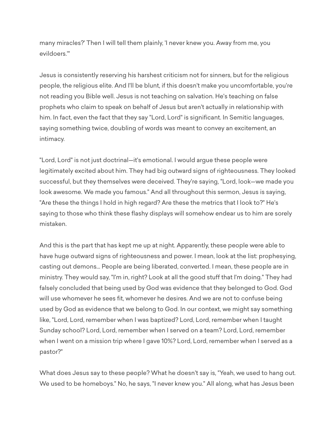many miracles?' Then I will tell them plainly, 'I never knew you. Away from me, you evildoers.'"

Jesus is consistently reserving his harshest criticism not for sinners, but for the religious people, the religious elite. And I'll be blunt, if this doesn't make you uncomfortable, you're not reading you Bible well. Jesus is not teaching on salvation. He's teaching on false prophets who claim to speak on behalf of Jesus but aren't actually in relationship with him. In fact, even the fact that they say "Lord, Lord" is significant. In Semitic languages, saying something twice, doubling of words was meant to convey an excitement, an intimacy.

"Lord, Lord" is not just doctrinal—it's emotional. I would argue these people were legitimately excited about him. They had big outward signs of righteousness. They looked successful, but they themselves were deceived. They're saying, "Lord, look—we made you look awesome. We made you famous." And all throughout this sermon, Jesus is saying, "Are these the things I hold in high regard? Are these the metrics that I look to?" He's saying to those who think these flashy displays will somehow endear us to him are sorely mistaken.

And this is the part that has kept me up at night. Apparently, these people were able to have huge outward signs of righteousness and power. I mean, look at the list: prophesying, casting out demons... People are being liberated, converted. I mean, these people are in ministry. They would say, "I'm in, right? Look at all the good stuff that I'm doing." They had falsely concluded that being used by God was evidence that they belonged to God. God will use whomever he sees fit, whomever he desires. And we are not to confuse being used by God as evidence that we belong to God. In our context, we might say something like, "Lord, Lord, remember when I was baptized? Lord, Lord, remember when I taught Sunday school? Lord, Lord, remember when I served on a team? Lord, Lord, remember when I went on a mission trip where I gave 10%? Lord, Lord, remember when I served as a pastor?"

What does Jesus say to these people? What he doesn't say is, "Yeah, we used to hang out. We used to be homeboys." No, he says, "I never knew you." All along, what has Jesus been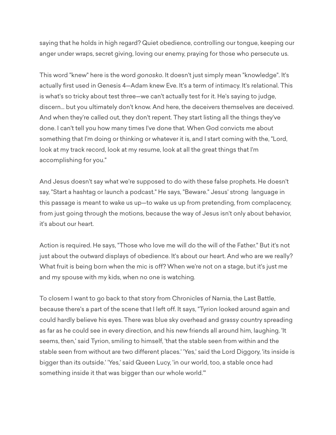saying that he holds in high regard? Quiet obedience, controlling our tongue, keeping our anger under wraps, secret giving, loving our enemy, praying for those who persecute us.

This word "knew" here is the word *gonosko*. It doesn't just simply mean "knowledge". It's actually first used in Genesis 4—Adam knew Eve. It's a term of intimacy. It's relational. This is what's so tricky about test three—we can't actually test for it. He's saying to judge, discern... but you ultimately don't know. And here, the deceivers themselves are deceived. And when they're called out, they don't repent. They start listing all the things they've done. I can't tell you how many times I've done that. When God convicts me about something that I'm doing or thinking or whatever it is, and I start coming with the, "Lord, look at my track record, look at my resume, look at all the great things that I'm accomplishing for you."

And Jesus doesn't say what we're supposed to do with these false prophets. He doesn't say, "Start a hashtag or launch a podcast." He says, "Beware." Jesus' strong language in this passage is meant to wake us up—to wake us up from pretending, from complacency, from just going through the motions, because the way of Jesus isn't only about behavior, it's about our heart.

Action is required. He says, "Those who love me will do the will of the Father." But it's not just about the outward displays of obedience. It's about our heart. And who are we really? What fruit is being born when the mic is off? When we're not on a stage, but it's just me and my spouse with my kids, when no one is watching.

To closem I want to go back to that story from Chronicles of Narnia, the Last Battle, because there's a part of the scene that I left off. It says, "Tyrion looked around again and could hardly believe his eyes. There was blue sky overhead and grassy country spreading as far as he could see in every direction, and his new friends all around him, laughing. 'It seems, then,' said Tyrion, smiling to himself, 'that the stable seen from within and the stable seen from without are two different places.' 'Yes,' said the Lord Diggory, 'its inside is bigger than its outside.' 'Yes,' said Queen Lucy, 'in our world, too, a stable once had something inside it that was bigger than our whole world.'"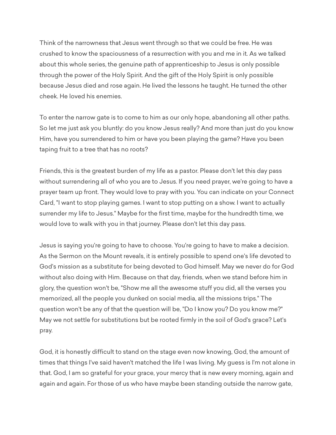Think of the narrowness that Jesus went through so that we could be free. He was crushed to know the spaciousness of a resurrection with you and me in it. As we talked about this whole series, the genuine path of apprenticeship to Jesus is only possible through the power of the Holy Spirit. And the gift of the Holy Spirit is only possible because Jesus died and rose again. He lived the lessons he taught. He turned the other cheek. He loved his enemies.

To enter the narrow gate is to come to him as our only hope, abandoning all other paths. So let me just ask you bluntly: do you know Jesus really? And more than just do you know Him, have you surrendered to him or have you been playing the game? Have you been taping fruit to a tree that has no roots?

Friends, this is the greatest burden of my life as a pastor. Please don't let this day pass without surrendering all of who you are to Jesus. If you need prayer, we're going to have a prayer team up front. They would love to pray with you. You can indicate on your Connect Card, "I want to stop playing games. I want to stop putting on a show. I want to actually surrender my life to Jesus." Maybe for the first time, maybe for the hundredth time, we would love to walk with you in that journey. Please don't let this day pass.

Jesus is saying you're going to have to choose. You're going to have to make a decision. As the Sermon on the Mount reveals, it is entirely possible to spend one's life devoted to God's mission as a substitute for being devoted to God himself. May we never do for God without also doing with Him. Because on that day, friends, when we stand before him in glory, the question won't be, "Show me all the awesome stuff you did, all the verses you memorized, all the people you dunked on social media, all the missions trips." The question won't be any of that the question will be, "Do I know you? Do you know me?" May we not settle for substitutions but be rooted firmly in the soil of God's grace? Let's pray.

God, it is honestly difficult to stand on the stage even now knowing, God, the amount of times that things I've said haven't matched the life I was living. My guess is I'm not alone in that. God, I am so grateful for your grace, your mercy that is new every morning, again and again and again. For those of us who have maybe been standing outside the narrow gate,